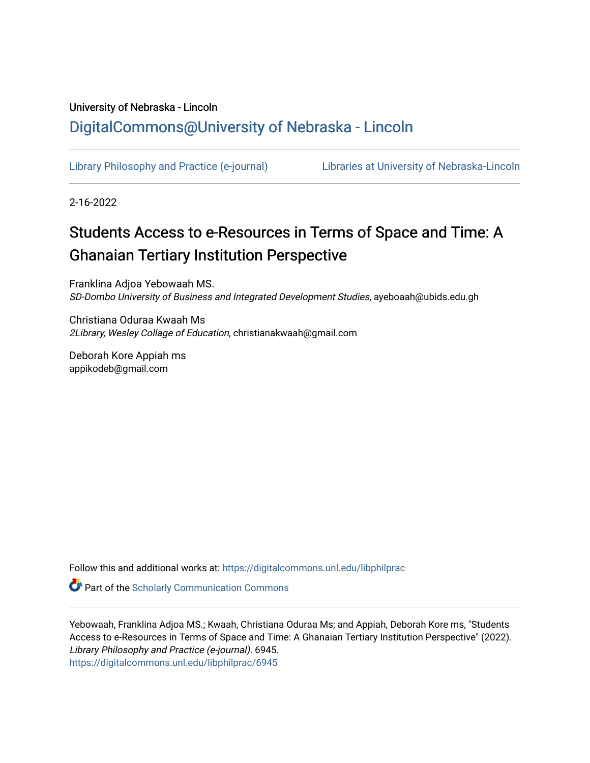# University of Nebraska - Lincoln [DigitalCommons@University of Nebraska - Lincoln](https://digitalcommons.unl.edu/)

[Library Philosophy and Practice \(e-journal\)](https://digitalcommons.unl.edu/libphilprac) [Libraries at University of Nebraska-Lincoln](https://digitalcommons.unl.edu/libraries) 

2-16-2022

# Students Access to e-Resources in Terms of Space and Time: A **Ghanaian Tertiary Institution Perspective**

Franklina Adjoa Yebowaah MS. SD-Dombo University of Business and Integrated Development Studies, ayeboaah@ubids.edu.gh

Christiana Oduraa Kwaah Ms 2Library, Wesley Collage of Education, christianakwaah@gmail.com

Deborah Kore Appiah ms appikodeb@gmail.com

Follow this and additional works at: [https://digitalcommons.unl.edu/libphilprac](https://digitalcommons.unl.edu/libphilprac?utm_source=digitalcommons.unl.edu%2Flibphilprac%2F6945&utm_medium=PDF&utm_campaign=PDFCoverPages) 

**Part of the Scholarly Communication Commons** 

Yebowaah, Franklina Adjoa MS.; Kwaah, Christiana Oduraa Ms; and Appiah, Deborah Kore ms, "Students Access to e-Resources in Terms of Space and Time: A Ghanaian Tertiary Institution Perspective" (2022). Library Philosophy and Practice (e-journal). 6945. [https://digitalcommons.unl.edu/libphilprac/6945](https://digitalcommons.unl.edu/libphilprac/6945?utm_source=digitalcommons.unl.edu%2Flibphilprac%2F6945&utm_medium=PDF&utm_campaign=PDFCoverPages)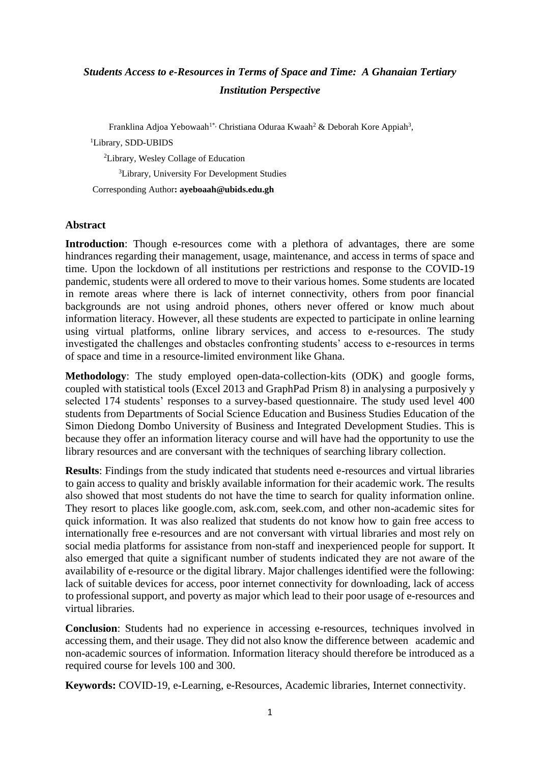# *Students Access to e-Resources in Terms of Space and Time: A Ghanaian Tertiary Institution Perspective*

Franklina Adjoa Yebowaah<sup>1\*,</sup> Christiana Oduraa Kwaah<sup>2</sup> & Deborah Kore Appiah<sup>3</sup>,

<sup>1</sup>Library, SDD-UBIDS

<sup>2</sup>Library, Wesley Collage of Education

<sup>3</sup>Library, University For Development Studies

Corresponding Author**: ayeboaah@ubids.edu.gh**

# **Abstract**

**Introduction**: Though e-resources come with a plethora of advantages, there are some hindrances regarding their management, usage, maintenance, and access in terms of space and time. Upon the lockdown of all institutions per restrictions and response to the COVID-19 pandemic, students were all ordered to move to their various homes. Some students are located in remote areas where there is lack of internet connectivity, others from poor financial backgrounds are not using android phones, others never offered or know much about information literacy. However, all these students are expected to participate in online learning using virtual platforms, online library services, and access to e-resources. The study investigated the challenges and obstacles confronting students' access to e-resources in terms of space and time in a resource-limited environment like Ghana.

**Methodology**: The study employed open-data-collection-kits (ODK) and google forms, coupled with statistical tools (Excel 2013 and GraphPad Prism 8) in analysing a purposively y selected 174 students' responses to a survey-based questionnaire. The study used level 400 students from Departments of Social Science Education and Business Studies Education of the Simon Diedong Dombo University of Business and Integrated Development Studies. This is because they offer an information literacy course and will have had the opportunity to use the library resources and are conversant with the techniques of searching library collection.

**Results**: Findings from the study indicated that students need e-resources and virtual libraries to gain access to quality and briskly available information for their academic work. The results also showed that most students do not have the time to search for quality information online. They resort to places like google.com, ask.com, seek.com, and other non-academic sites for quick information. It was also realized that students do not know how to gain free access to internationally free e-resources and are not conversant with virtual libraries and most rely on social media platforms for assistance from non-staff and inexperienced people for support. It also emerged that quite a significant number of students indicated they are not aware of the availability of e-resource or the digital library. Major challenges identified were the following: lack of suitable devices for access, poor internet connectivity for downloading, lack of access to professional support, and poverty as major which lead to their poor usage of e-resources and virtual libraries.

**Conclusion**: Students had no experience in accessing e-resources, techniques involved in accessing them, and their usage. They did not also know the difference between academic and non-academic sources of information. Information literacy should therefore be introduced as a required course for levels 100 and 300.

**Keywords:** COVID-19, e-Learning, e-Resources, Academic libraries, Internet connectivity.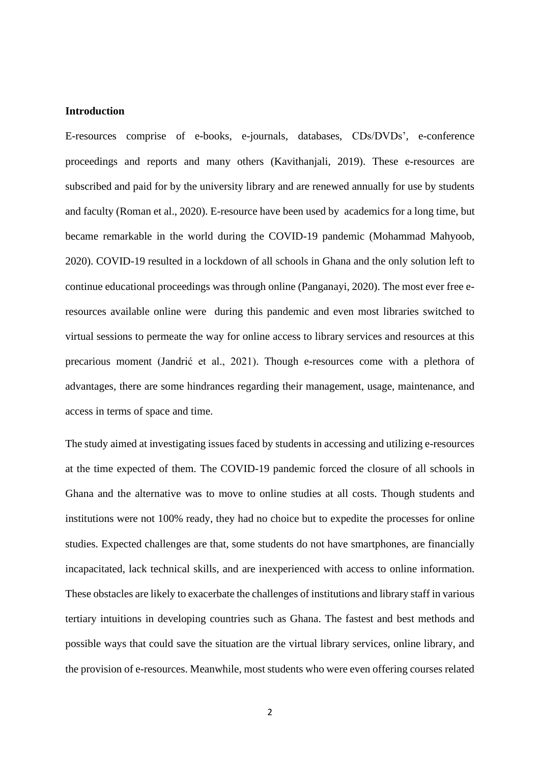#### **Introduction**

E-resources comprise of e-books, e-journals, databases, CDs/DVDs', e-conference proceedings and reports and many others (Kavithanjali, 2019). These e-resources are subscribed and paid for by the university library and are renewed annually for use by students and faculty (Roman et al., 2020). E-resource have been used by academics for a long time, but became remarkable in the world during the COVID-19 pandemic (Mohammad Mahyoob, 2020). COVID-19 resulted in a lockdown of all schools in Ghana and the only solution left to continue educational proceedings was through online (Panganayi, 2020). The most ever free eresources available online were during this pandemic and even most libraries switched to virtual sessions to permeate the way for online access to library services and resources at this precarious moment (Jandrić et al., 2021). Though e-resources come with a plethora of advantages, there are some hindrances regarding their management, usage, maintenance, and access in terms of space and time.

The study aimed at investigating issues faced by students in accessing and utilizing e-resources at the time expected of them. The COVID-19 pandemic forced the closure of all schools in Ghana and the alternative was to move to online studies at all costs. Though students and institutions were not 100% ready, they had no choice but to expedite the processes for online studies. Expected challenges are that, some students do not have smartphones, are financially incapacitated, lack technical skills, and are inexperienced with access to online information. These obstacles are likely to exacerbate the challenges of institutions and library staff in various tertiary intuitions in developing countries such as Ghana. The fastest and best methods and possible ways that could save the situation are the virtual library services, online library, and the provision of e-resources. Meanwhile, most students who were even offering courses related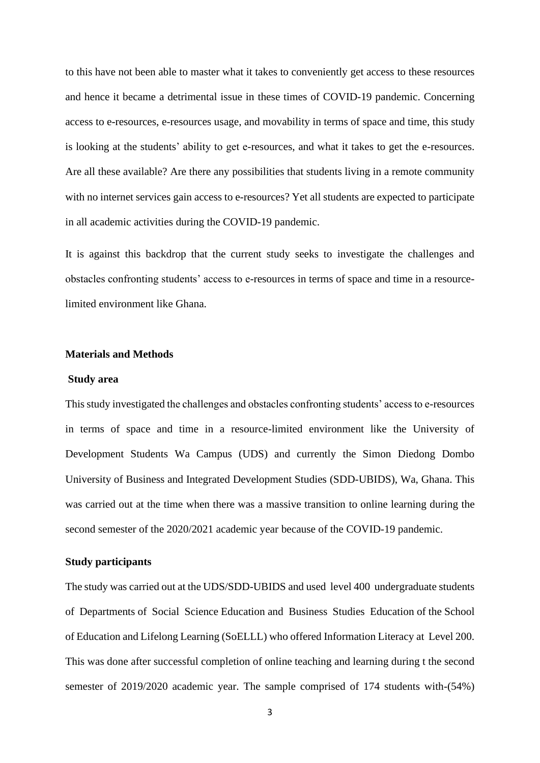to this have not been able to master what it takes to conveniently get access to these resources and hence it became a detrimental issue in these times of COVID-19 pandemic. Concerning access to e-resources, e-resources usage, and movability in terms of space and time, this study is looking at the students' ability to get e-resources, and what it takes to get the e-resources. Are all these available? Are there any possibilities that students living in a remote community with no internet services gain access to e-resources? Yet all students are expected to participate in all academic activities during the COVID-19 pandemic.

It is against this backdrop that the current study seeks to investigate the challenges and obstacles confronting students' access to e-resources in terms of space and time in a resourcelimited environment like Ghana.

## **Materials and Methods**

#### **Study area**

This study investigated the challenges and obstacles confronting students' access to e-resources in terms of space and time in a resource-limited environment like the University of Development Students Wa Campus (UDS) and currently the Simon Diedong Dombo University of Business and Integrated Development Studies (SDD-UBIDS), Wa, Ghana. This was carried out at the time when there was a massive transition to online learning during the second semester of the 2020/2021 academic year because of the COVID-19 pandemic.

#### **Study participants**

The study was carried out at the UDS/SDD-UBIDS and used level 400 undergraduate students of Departments of Social Science Education and Business Studies Education of the School of Education and Lifelong Learning (SoELLL) who offered Information Literacy at Level 200. This was done after successful completion of online teaching and learning during t the second semester of 2019/2020 academic year. The sample comprised of 174 students with-(54%)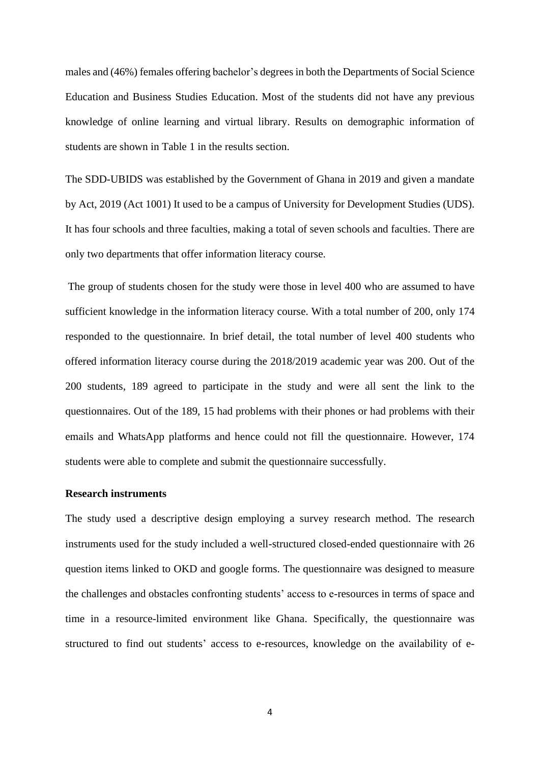males and (46%) females offering bachelor's degrees in both the Departments of Social Science Education and Business Studies Education. Most of the students did not have any previous knowledge of online learning and virtual library. Results on demographic information of students are shown in Table 1 in the results section.

The SDD-UBIDS was established by the Government of Ghana in 2019 and given a mandate by Act, 2019 (Act 1001) It used to be a campus of University for Development Studies (UDS). It has four schools and three faculties, making a total of seven schools and faculties. There are only two departments that offer information literacy course.

The group of students chosen for the study were those in level 400 who are assumed to have sufficient knowledge in the information literacy course. With a total number of 200, only 174 responded to the questionnaire. In brief detail, the total number of level 400 students who offered information literacy course during the 2018/2019 academic year was 200. Out of the 200 students, 189 agreed to participate in the study and were all sent the link to the questionnaires. Out of the 189, 15 had problems with their phones or had problems with their emails and WhatsApp platforms and hence could not fill the questionnaire. However, 174 students were able to complete and submit the questionnaire successfully.

# **Research instruments**

The study used a descriptive design employing a survey research method. The research instruments used for the study included a well-structured closed-ended questionnaire with 26 question items linked to OKD and google forms. The questionnaire was designed to measure the challenges and obstacles confronting students' access to e-resources in terms of space and time in a resource-limited environment like Ghana. Specifically, the questionnaire was structured to find out students' access to e-resources, knowledge on the availability of e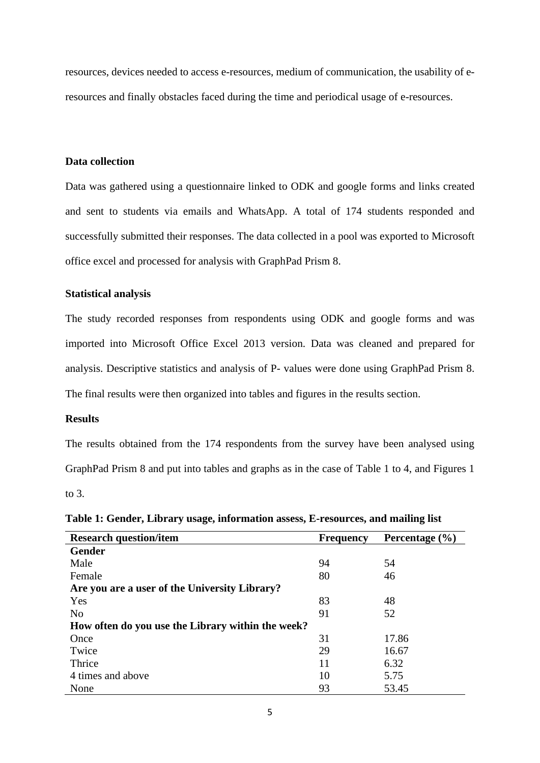resources, devices needed to access e-resources, medium of communication, the usability of eresources and finally obstacles faced during the time and periodical usage of e-resources.

#### **Data collection**

Data was gathered using a questionnaire linked to ODK and google forms and links created and sent to students via emails and WhatsApp. A total of 174 students responded and successfully submitted their responses. The data collected in a pool was exported to Microsoft office excel and processed for analysis with GraphPad Prism 8.

## **Statistical analysis**

The study recorded responses from respondents using ODK and google forms and was imported into Microsoft Office Excel 2013 version. Data was cleaned and prepared for analysis. Descriptive statistics and analysis of P- values were done using GraphPad Prism 8. The final results were then organized into tables and figures in the results section.

## **Results**

The results obtained from the 174 respondents from the survey have been analysed using GraphPad Prism 8 and put into tables and graphs as in the case of Table 1 to 4, and Figures 1 to  $3<sub>l</sub>$ 

| <b>Research question/item</b>                     | <b>Frequency</b> | Percentage $(\% )$ |
|---------------------------------------------------|------------------|--------------------|
| <b>Gender</b>                                     |                  |                    |
| Male                                              | 94               | 54                 |
| Female                                            | 80               | 46                 |
| Are you are a user of the University Library?     |                  |                    |
| Yes                                               | 83               | 48                 |
| N <sub>0</sub>                                    | 91               | 52                 |
| How often do you use the Library within the week? |                  |                    |
| Once                                              | 31               | 17.86              |
| Twice                                             | 29               | 16.67              |
| Thrice                                            | 11               | 6.32               |
| 4 times and above                                 | 10               | 5.75               |
| None                                              | 93               | 53.45              |

**Table 1: Gender, Library usage, information assess, E-resources, and mailing list**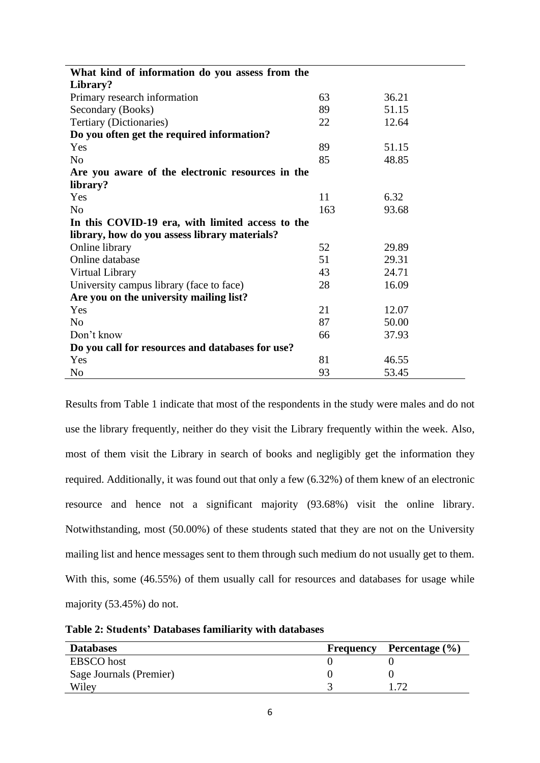| What kind of information do you assess from the  |     |       |  |
|--------------------------------------------------|-----|-------|--|
| Library?                                         |     |       |  |
| Primary research information                     | 63  | 36.21 |  |
| Secondary (Books)                                | 89  | 51.15 |  |
| Tertiary (Dictionaries)                          | 22  | 12.64 |  |
| Do you often get the required information?       |     |       |  |
| Yes                                              | 89  | 51.15 |  |
| N <sub>0</sub>                                   | 85  | 48.85 |  |
| Are you aware of the electronic resources in the |     |       |  |
| library?                                         |     |       |  |
| Yes                                              | 11  | 6.32  |  |
| N <sub>o</sub>                                   | 163 | 93.68 |  |
| In this COVID-19 era, with limited access to the |     |       |  |
| library, how do you assess library materials?    |     |       |  |
| Online library                                   | 52  | 29.89 |  |
| Online database                                  | 51  | 29.31 |  |
| Virtual Library                                  | 43  | 24.71 |  |
| University campus library (face to face)         | 28  | 16.09 |  |
| Are you on the university mailing list?          |     |       |  |
| Yes                                              | 21  | 12.07 |  |
| No                                               | 87  | 50.00 |  |
| Don't know                                       | 66  | 37.93 |  |
| Do you call for resources and databases for use? |     |       |  |
| Yes                                              | 81  | 46.55 |  |
| N <sub>0</sub>                                   | 93  | 53.45 |  |

Results from Table 1 indicate that most of the respondents in the study were males and do not use the library frequently, neither do they visit the Library frequently within the week. Also, most of them visit the Library in search of books and negligibly get the information they required. Additionally, it was found out that only a few (6.32%) of them knew of an electronic resource and hence not a significant majority (93.68%) visit the online library. Notwithstanding, most (50.00%) of these students stated that they are not on the University mailing list and hence messages sent to them through such medium do not usually get to them. With this, some (46.55%) of them usually call for resources and databases for usage while majority (53.45%) do not.

**Table 2: Students' Databases familiarity with databases**

| <b>Databases</b>        | Frequency | Percentage $(\% )$ |
|-------------------------|-----------|--------------------|
| <b>EBSCO</b> host       |           |                    |
| Sage Journals (Premier) |           |                    |
| Wiley                   |           | 70                 |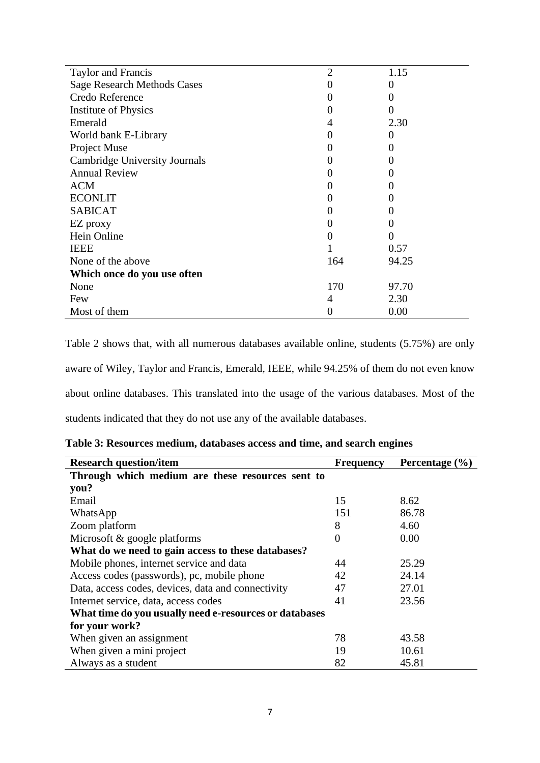| Taylor and Francis                   | $\overline{2}$   | 1.15     |
|--------------------------------------|------------------|----------|
| <b>Sage Research Methods Cases</b>   |                  | $\Omega$ |
| Credo Reference                      | $\left( \right)$ | $\theta$ |
| <b>Institute of Physics</b>          | 0                | 0        |
| Emerald                              | 4                | 2.30     |
| World bank E-Library                 |                  | $\theta$ |
| Project Muse                         | 0                | $\theta$ |
| <b>Cambridge University Journals</b> | $\left( \right)$ | 0        |
| <b>Annual Review</b>                 |                  | $\theta$ |
| <b>ACM</b>                           |                  |          |
| <b>ECONLIT</b>                       | 0                | 0        |
| <b>SABICAT</b>                       | $\theta$         | 0        |
| EZ proxy                             |                  | 0        |
| Hein Online                          | $\left( \right)$ | $\theta$ |
| <b>IEEE</b>                          |                  | 0.57     |
| None of the above                    | 164              | 94.25    |
| Which once do you use often          |                  |          |
| None                                 | 170              | 97.70    |
| Few                                  | $\overline{4}$   | 2.30     |
| Most of them                         |                  | 0.00     |

Table 2 shows that, with all numerous databases available online, students (5.75%) are only aware of Wiley, Taylor and Francis, Emerald, IEEE, while 94.25% of them do not even know about online databases. This translated into the usage of the various databases. Most of the students indicated that they do not use any of the available databases.

|  |  | Table 3: Resources medium, databases access and time, and search engines |  |  |
|--|--|--------------------------------------------------------------------------|--|--|
|  |  |                                                                          |  |  |

| <b>Research question/item</b>                          | <b>Frequency</b> | Percentage $(\% )$ |  |  |
|--------------------------------------------------------|------------------|--------------------|--|--|
| Through which medium are these resources sent to       |                  |                    |  |  |
| you?                                                   |                  |                    |  |  |
| Email                                                  | 15               | 8.62               |  |  |
| WhatsApp                                               | 151              | 86.78              |  |  |
| Zoom platform                                          | 8                | 4.60               |  |  |
| Microsoft & google platforms                           | $\Omega$         | 0.00               |  |  |
| What do we need to gain access to these databases?     |                  |                    |  |  |
| Mobile phones, internet service and data               | 44               | 25.29              |  |  |
| Access codes (passwords), pc, mobile phone             | 42               | 24.14              |  |  |
| Data, access codes, devices, data and connectivity     | 47               | 27.01              |  |  |
| Internet service, data, access codes                   | 41               | 23.56              |  |  |
| What time do you usually need e-resources or databases |                  |                    |  |  |
| for your work?                                         |                  |                    |  |  |
| When given an assignment                               | 78               | 43.58              |  |  |
| When given a mini project                              | 19               | 10.61              |  |  |
| Always as a student                                    | 82               | 45.81              |  |  |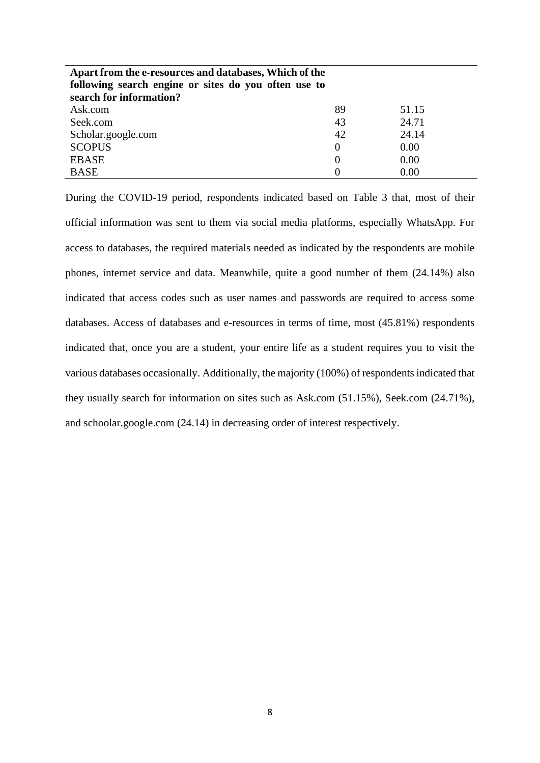| Apart from the e-resources and databases, Which of the |          |       |  |
|--------------------------------------------------------|----------|-------|--|
| following search engine or sites do you often use to   |          |       |  |
| search for information?                                |          |       |  |
| Ask.com                                                | 89       | 51.15 |  |
| Seek.com                                               | 43       | 24.71 |  |
| Scholar.google.com                                     | 42       | 24.14 |  |
| <b>SCOPUS</b>                                          | $\Omega$ | 0.00  |  |
| <b>EBASE</b>                                           |          | 0.00  |  |
| <b>BASE</b>                                            |          | 0.00  |  |

During the COVID-19 period, respondents indicated based on Table 3 that, most of their official information was sent to them via social media platforms, especially WhatsApp. For access to databases, the required materials needed as indicated by the respondents are mobile phones, internet service and data. Meanwhile, quite a good number of them (24.14%) also indicated that access codes such as user names and passwords are required to access some databases. Access of databases and e-resources in terms of time, most (45.81%) respondents indicated that, once you are a student, your entire life as a student requires you to visit the various databases occasionally. Additionally, the majority (100%) of respondents indicated that they usually search for information on sites such as Ask.com (51.15%), Seek.com (24.71%), and schoolar.google.com (24.14) in decreasing order of interest respectively.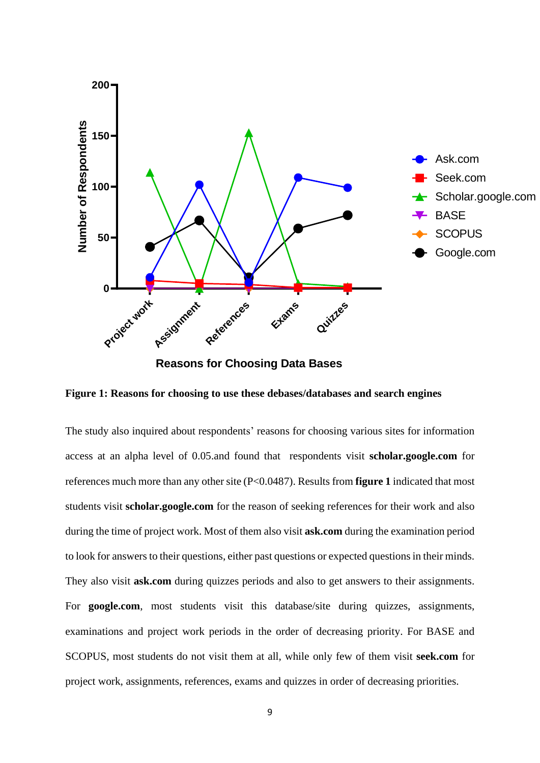

**Reasons for Choosing Data Bases**

**Figure 1: Reasons for choosing to use these debases/databases and search engines**

The study also inquired about respondents' reasons for choosing various sites for information access at an alpha level of 0.05.and found that respondents visit **scholar.google.com** for references much more than any other site (P<0.0487). Results from **figure 1** indicated that most students visit **scholar.google.com** for the reason of seeking references for their work and also during the time of project work. Most of them also visit **ask.com** during the examination period to look for answers to their questions, either past questions or expected questions in their minds. They also visit **ask.com** during quizzes periods and also to get answers to their assignments. For **google.com**, most students visit this database/site during quizzes, assignments, examinations and project work periods in the order of decreasing priority. For BASE and SCOPUS, most students do not visit them at all, while only few of them visit **seek.com** for project work, assignments, references, exams and quizzes in order of decreasing priorities.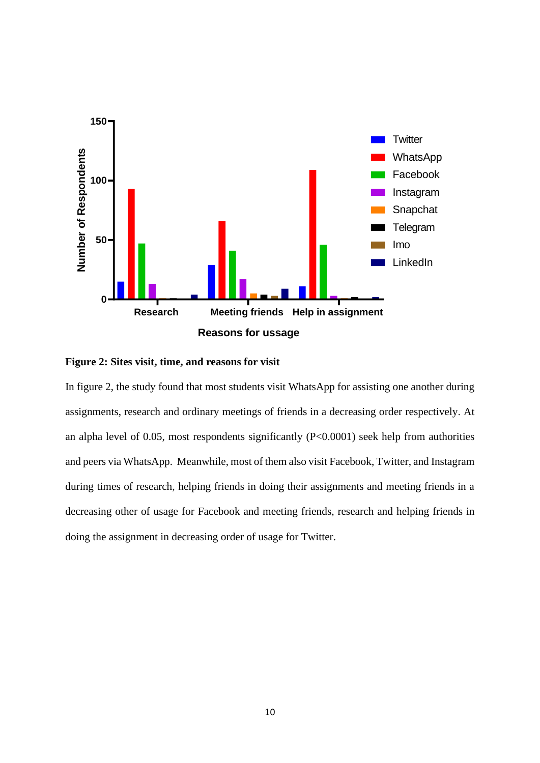



In figure 2, the study found that most students visit WhatsApp for assisting one another during assignments, research and ordinary meetings of friends in a decreasing order respectively. At an alpha level of 0.05, most respondents significantly (P<0.0001) seek help from authorities and peers via WhatsApp. Meanwhile, most of them also visit Facebook, Twitter, and Instagram during times of research, helping friends in doing their assignments and meeting friends in a decreasing other of usage for Facebook and meeting friends, research and helping friends in doing the assignment in decreasing order of usage for Twitter.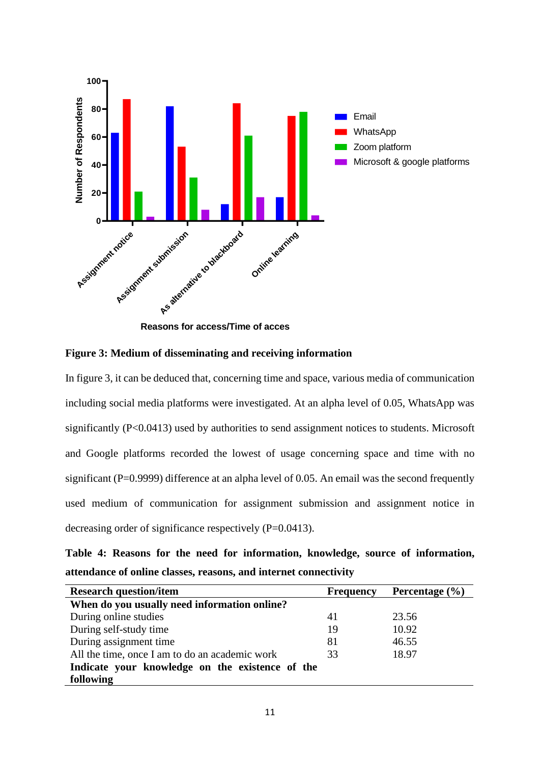



In figure 3, it can be deduced that, concerning time and space, various media of communication including social media platforms were investigated. At an alpha level of 0.05, WhatsApp was significantly (P<0.0413) used by authorities to send assignment notices to students. Microsoft and Google platforms recorded the lowest of usage concerning space and time with no significant (P=0.9999) difference at an alpha level of 0.05. An email was the second frequently used medium of communication for assignment submission and assignment notice in decreasing order of significance respectively (P=0.0413).

**Table 4: Reasons for the need for information, knowledge, source of information, attendance of online classes, reasons, and internet connectivity**

| <b>Research question/item</b>                   | <b>Frequency</b> | Percentage $(\% )$ |  |  |
|-------------------------------------------------|------------------|--------------------|--|--|
| When do you usually need information online?    |                  |                    |  |  |
| During online studies                           | 41               | 23.56              |  |  |
| During self-study time                          | 19               | 10.92              |  |  |
| During assignment time                          | 81               | 46.55              |  |  |
| All the time, once I am to do an academic work  | 33               | 18.97              |  |  |
| Indicate your knowledge on the existence of the |                  |                    |  |  |
| following                                       |                  |                    |  |  |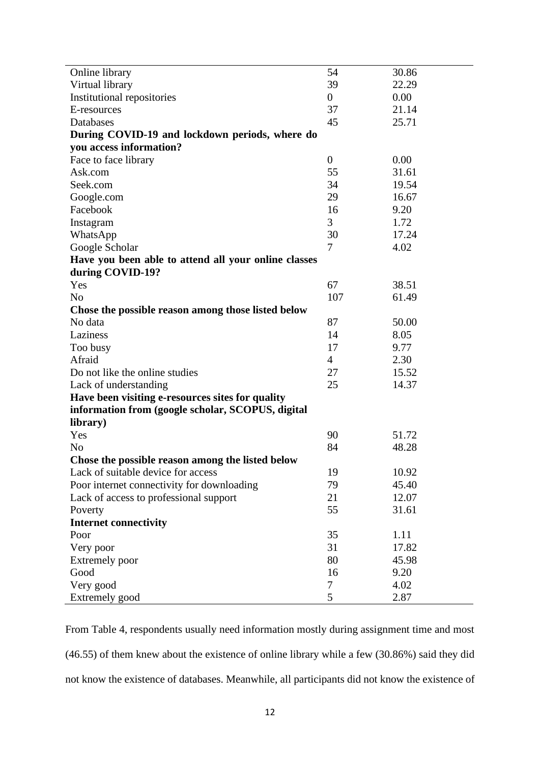|                                                      | 54               | 30.86 |
|------------------------------------------------------|------------------|-------|
| Online library                                       | 39               | 22.29 |
| Virtual library                                      | $\overline{0}$   | 0.00  |
| Institutional repositories<br>E-resources            | 37               | 21.14 |
| Databases                                            | 45               |       |
|                                                      |                  | 25.71 |
| During COVID-19 and lockdown periods, where do       |                  |       |
| you access information?                              |                  |       |
| Face to face library                                 | $\boldsymbol{0}$ | 0.00  |
| Ask.com                                              | 55               | 31.61 |
| Seek.com                                             | 34               | 19.54 |
| Google.com                                           | 29               | 16.67 |
| Facebook                                             | 16               | 9.20  |
| Instagram                                            | 3                | 1.72  |
| WhatsApp                                             | 30               | 17.24 |
| Google Scholar                                       | 7                | 4.02  |
| Have you been able to attend all your online classes |                  |       |
| during COVID-19?                                     |                  |       |
| Yes                                                  | 67               | 38.51 |
| N <sub>o</sub>                                       | 107              | 61.49 |
| Chose the possible reason among those listed below   |                  |       |
| No data                                              | 87               | 50.00 |
| Laziness                                             | 14               | 8.05  |
| Too busy                                             | 17               | 9.77  |
| Afraid                                               | $\overline{4}$   | 2.30  |
| Do not like the online studies                       | 27               | 15.52 |
| Lack of understanding                                | 25               | 14.37 |
| Have been visiting e-resources sites for quality     |                  |       |
| information from (google scholar, SCOPUS, digital    |                  |       |
| library)                                             |                  |       |
| Yes                                                  | 90               | 51.72 |
| N <sub>o</sub>                                       | 84               | 48.28 |
| Chose the possible reason among the listed below     |                  |       |
| Lack of suitable device for access                   | 19               | 10.92 |
| Poor internet connectivity for downloading           | 79               | 45.40 |
| Lack of access to professional support               | 21               | 12.07 |
| Poverty                                              | 55               | 31.61 |
| <b>Internet connectivity</b>                         |                  |       |
| Poor                                                 | 35               | 1.11  |
| Very poor                                            | 31               | 17.82 |
| Extremely poor                                       | 80               | 45.98 |
| Good                                                 | 16               | 9.20  |
| Very good                                            | 7                | 4.02  |
| Extremely good                                       | 5                | 2.87  |

From Table 4, respondents usually need information mostly during assignment time and most (46.55) of them knew about the existence of online library while a few (30.86%) said they did not know the existence of databases. Meanwhile, all participants did not know the existence of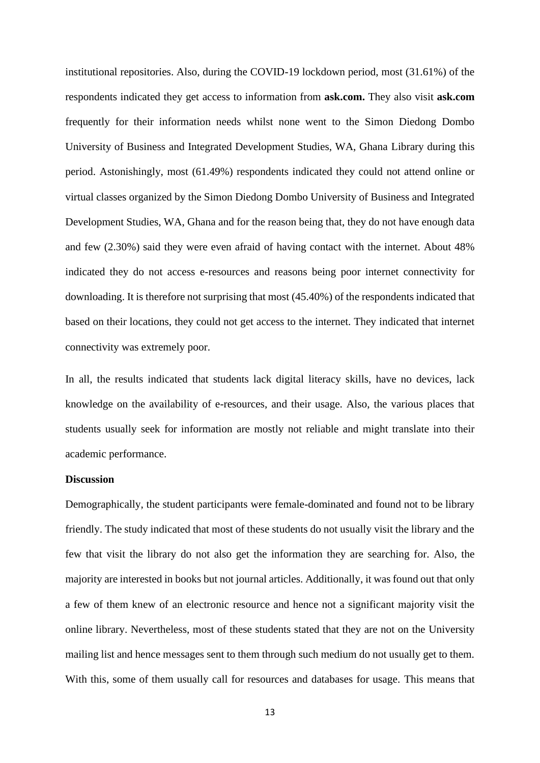institutional repositories. Also, during the COVID-19 lockdown period, most (31.61%) of the respondents indicated they get access to information from **ask.com.** They also visit **ask.com** frequently for their information needs whilst none went to the Simon Diedong Dombo University of Business and Integrated Development Studies, WA, Ghana Library during this period. Astonishingly, most (61.49%) respondents indicated they could not attend online or virtual classes organized by the Simon Diedong Dombo University of Business and Integrated Development Studies, WA, Ghana and for the reason being that, they do not have enough data and few (2.30%) said they were even afraid of having contact with the internet. About 48% indicated they do not access e-resources and reasons being poor internet connectivity for downloading. It is therefore not surprising that most (45.40%) of the respondents indicated that based on their locations, they could not get access to the internet. They indicated that internet connectivity was extremely poor.

In all, the results indicated that students lack digital literacy skills, have no devices, lack knowledge on the availability of e-resources, and their usage. Also, the various places that students usually seek for information are mostly not reliable and might translate into their academic performance.

#### **Discussion**

Demographically, the student participants were female-dominated and found not to be library friendly. The study indicated that most of these students do not usually visit the library and the few that visit the library do not also get the information they are searching for. Also, the majority are interested in books but not journal articles. Additionally, it was found out that only a few of them knew of an electronic resource and hence not a significant majority visit the online library. Nevertheless, most of these students stated that they are not on the University mailing list and hence messages sent to them through such medium do not usually get to them. With this, some of them usually call for resources and databases for usage. This means that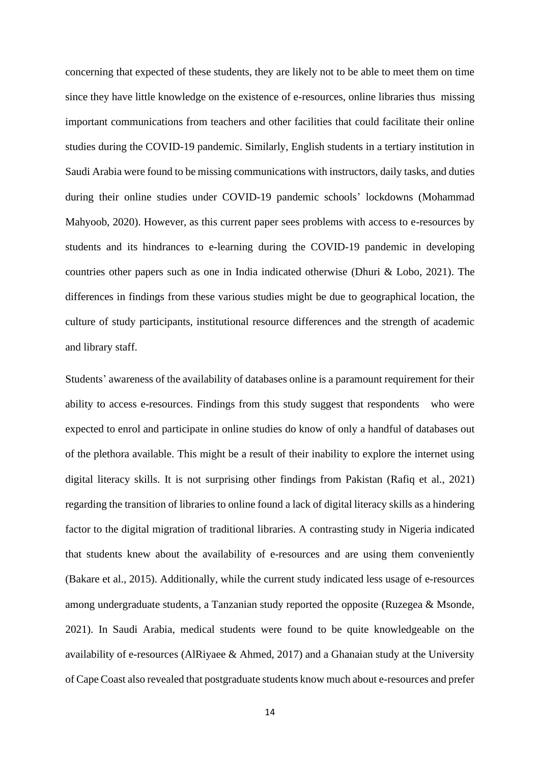concerning that expected of these students, they are likely not to be able to meet them on time since they have little knowledge on the existence of e-resources, online libraries thus missing important communications from teachers and other facilities that could facilitate their online studies during the COVID-19 pandemic. Similarly, English students in a tertiary institution in Saudi Arabia were found to be missing communications with instructors, daily tasks, and duties during their online studies under COVID-19 pandemic schools' lockdowns (Mohammad Mahyoob, 2020). However, as this current paper sees problems with access to e-resources by students and its hindrances to e-learning during the COVID-19 pandemic in developing countries other papers such as one in India indicated otherwise (Dhuri & Lobo, 2021). The differences in findings from these various studies might be due to geographical location, the culture of study participants, institutional resource differences and the strength of academic and library staff.

Students' awareness of the availability of databases online is a paramount requirement for their ability to access e-resources. Findings from this study suggest that respondents who were expected to enrol and participate in online studies do know of only a handful of databases out of the plethora available. This might be a result of their inability to explore the internet using digital literacy skills. It is not surprising other findings from Pakistan (Rafiq et al., 2021) regarding the transition of libraries to online found a lack of digital literacy skills as a hindering factor to the digital migration of traditional libraries. A contrasting study in Nigeria indicated that students knew about the availability of e-resources and are using them conveniently (Bakare et al., 2015). Additionally, while the current study indicated less usage of e-resources among undergraduate students, a Tanzanian study reported the opposite (Ruzegea & Msonde, 2021). In Saudi Arabia, medical students were found to be quite knowledgeable on the availability of e-resources (AlRiyaee & Ahmed, 2017) and a Ghanaian study at the University of Cape Coast also revealed that postgraduate students know much about e-resources and prefer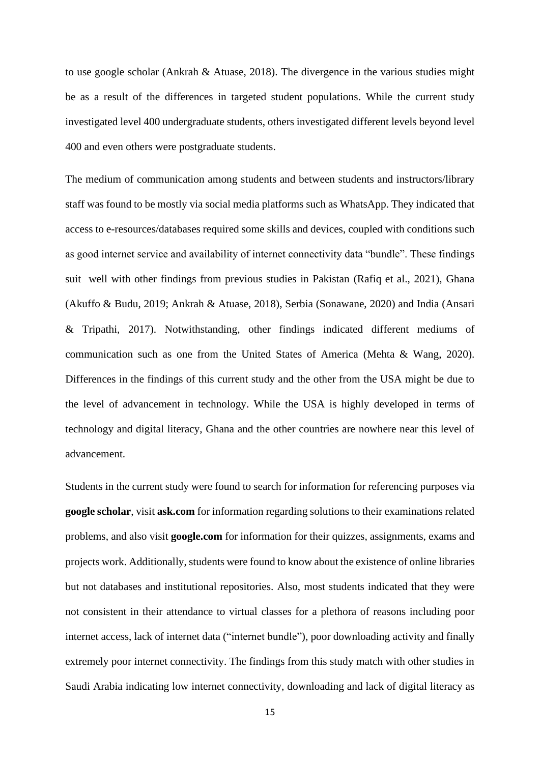to use google scholar (Ankrah & Atuase, 2018). The divergence in the various studies might be as a result of the differences in targeted student populations. While the current study investigated level 400 undergraduate students, others investigated different levels beyond level 400 and even others were postgraduate students.

The medium of communication among students and between students and instructors/library staff was found to be mostly via social media platforms such as WhatsApp. They indicated that access to e-resources/databases required some skills and devices, coupled with conditions such as good internet service and availability of internet connectivity data "bundle". These findings suit well with other findings from previous studies in Pakistan (Rafiq et al., 2021), Ghana (Akuffo & Budu, 2019; Ankrah & Atuase, 2018), Serbia (Sonawane, 2020) and India (Ansari & Tripathi, 2017). Notwithstanding, other findings indicated different mediums of communication such as one from the United States of America (Mehta & Wang, 2020). Differences in the findings of this current study and the other from the USA might be due to the level of advancement in technology. While the USA is highly developed in terms of technology and digital literacy, Ghana and the other countries are nowhere near this level of advancement.

Students in the current study were found to search for information for referencing purposes via **google scholar**, visit **ask.com** for information regarding solutions to their examinations related problems, and also visit **google.com** for information for their quizzes, assignments, exams and projects work. Additionally, students were found to know about the existence of online libraries but not databases and institutional repositories. Also, most students indicated that they were not consistent in their attendance to virtual classes for a plethora of reasons including poor internet access, lack of internet data ("internet bundle"), poor downloading activity and finally extremely poor internet connectivity. The findings from this study match with other studies in Saudi Arabia indicating low internet connectivity, downloading and lack of digital literacy as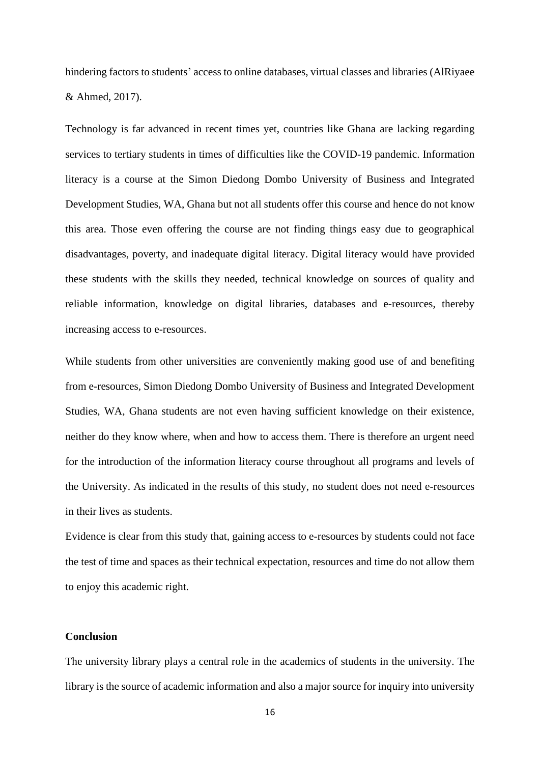hindering factors to students' access to online databases, virtual classes and libraries (AlRiyaee & Ahmed, 2017).

Technology is far advanced in recent times yet, countries like Ghana are lacking regarding services to tertiary students in times of difficulties like the COVID-19 pandemic. Information literacy is a course at the Simon Diedong Dombo University of Business and Integrated Development Studies, WA, Ghana but not all students offer this course and hence do not know this area. Those even offering the course are not finding things easy due to geographical disadvantages, poverty, and inadequate digital literacy. Digital literacy would have provided these students with the skills they needed, technical knowledge on sources of quality and reliable information, knowledge on digital libraries, databases and e-resources, thereby increasing access to e-resources.

While students from other universities are conveniently making good use of and benefiting from e-resources, Simon Diedong Dombo University of Business and Integrated Development Studies, WA, Ghana students are not even having sufficient knowledge on their existence, neither do they know where, when and how to access them. There is therefore an urgent need for the introduction of the information literacy course throughout all programs and levels of the University. As indicated in the results of this study, no student does not need e-resources in their lives as students.

Evidence is clear from this study that, gaining access to e-resources by students could not face the test of time and spaces as their technical expectation, resources and time do not allow them to enjoy this academic right.

#### **Conclusion**

The university library plays a central role in the academics of students in the university. The library is the source of academic information and also a major source for inquiry into university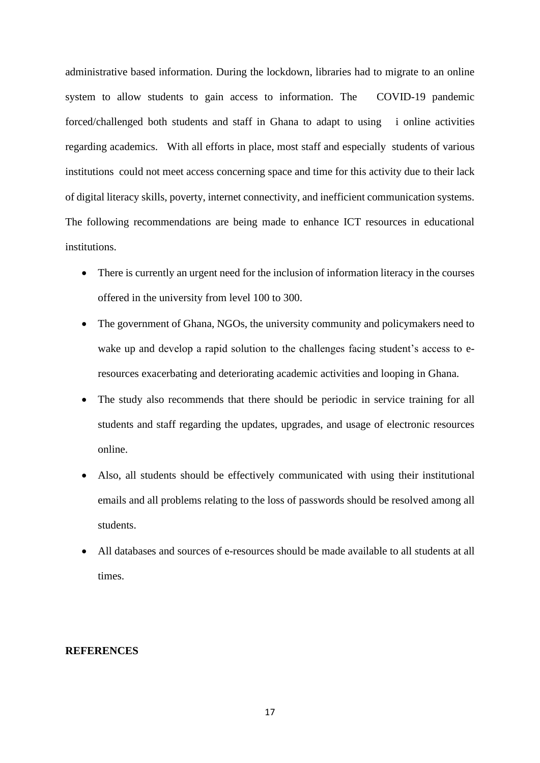administrative based information. During the lockdown, libraries had to migrate to an online system to allow students to gain access to information. The COVID-19 pandemic forced/challenged both students and staff in Ghana to adapt to using i online activities regarding academics. With all efforts in place, most staff and especially students of various institutions could not meet access concerning space and time for this activity due to their lack of digital literacy skills, poverty, internet connectivity, and inefficient communication systems. The following recommendations are being made to enhance ICT resources in educational institutions.

- There is currently an urgent need for the inclusion of information literacy in the courses offered in the university from level 100 to 300.
- The government of Ghana, NGOs, the university community and policymakers need to wake up and develop a rapid solution to the challenges facing student's access to eresources exacerbating and deteriorating academic activities and looping in Ghana.
- The study also recommends that there should be periodic in service training for all students and staff regarding the updates, upgrades, and usage of electronic resources online.
- Also, all students should be effectively communicated with using their institutional emails and all problems relating to the loss of passwords should be resolved among all students.
- All databases and sources of e-resources should be made available to all students at all times.

# **REFERENCES**